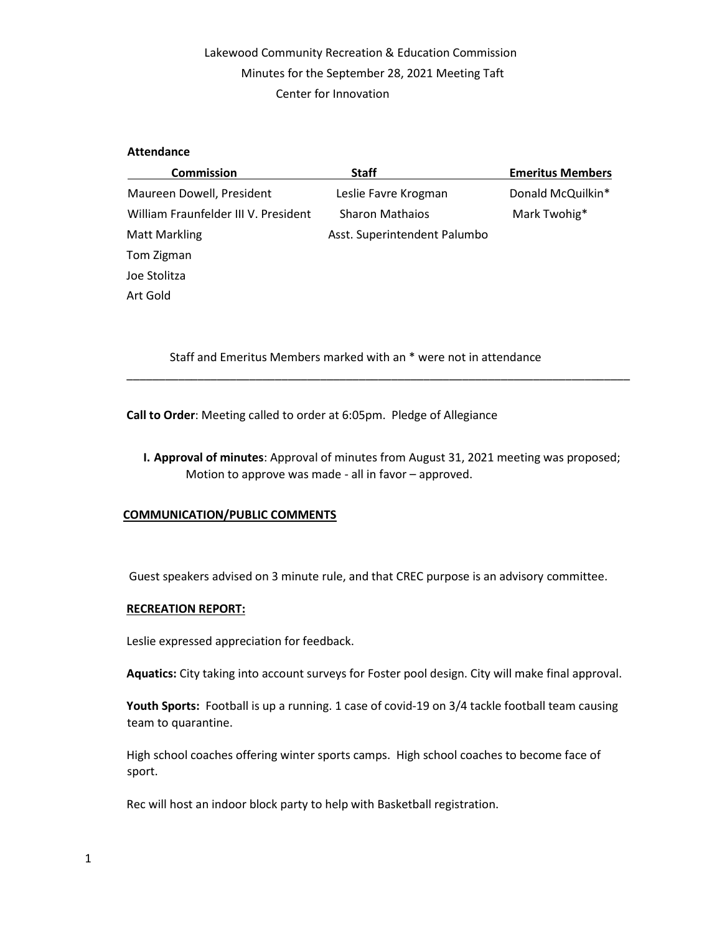## Lakewood Community Recreation & Education Commission Minutes for the September 28, 2021 Meeting Taft Center for Innovation

### **Attendance**

| <b>Commission</b>                    | <b>Staff</b>                 | <b>Emeritus Members</b> |
|--------------------------------------|------------------------------|-------------------------|
| Maureen Dowell, President            | Leslie Favre Krogman         | Donald McQuilkin*       |
| William Fraunfelder III V. President | <b>Sharon Mathaios</b>       | Mark Twohig*            |
| <b>Matt Markling</b>                 | Asst. Superintendent Palumbo |                         |
| Tom Zigman                           |                              |                         |
| Joe Stolitza                         |                              |                         |
| Art Gold                             |                              |                         |

Staff and Emeritus Members marked with an \* were not in attendance

**Call to Order**: Meeting called to order at 6:05pm. Pledge of Allegiance

**I. Approval of minutes**: Approval of minutes from August 31, 2021 meeting was proposed; Motion to approve was made - all in favor – approved.

\_\_\_\_\_\_\_\_\_\_\_\_\_\_\_\_\_\_\_\_\_\_\_\_\_\_\_\_\_\_\_\_\_\_\_\_\_\_\_\_\_\_\_\_\_\_\_\_\_\_\_\_\_\_\_\_\_\_\_\_\_\_\_\_\_\_\_\_\_\_\_\_\_\_\_\_\_\_

### **COMMUNICATION/PUBLIC COMMENTS**

Guest speakers advised on 3 minute rule, and that CREC purpose is an advisory committee.

### **RECREATION REPORT:**

Leslie expressed appreciation for feedback.

**Aquatics:** City taking into account surveys for Foster pool design. City will make final approval.

**Youth Sports:** Football is up a running. 1 case of covid-19 on 3/4 tackle football team causing team to quarantine.

High school coaches offering winter sports camps. High school coaches to become face of sport.

Rec will host an indoor block party to help with Basketball registration.